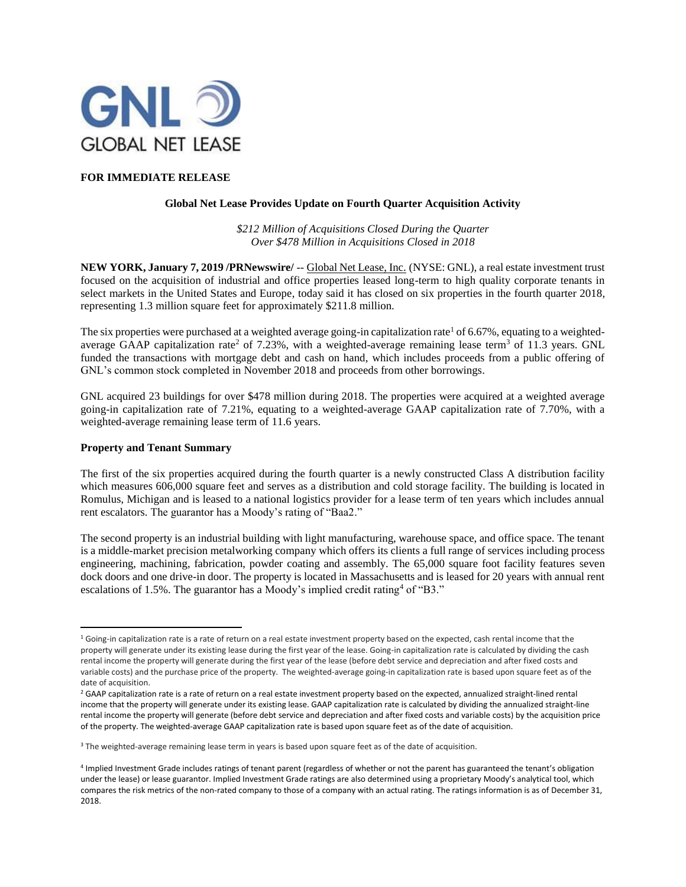

## **FOR IMMEDIATE RELEASE**

## **Global Net Lease Provides Update on Fourth Quarter Acquisition Activity**

*\$212 Million of Acquisitions Closed During the Quarter Over \$478 Million in Acquisitions Closed in 2018*

**NEW YORK, January 7, 2019 /PRNewswire/** -- Global Net Lease, Inc. (NYSE: GNL), a real estate investment trust focused on the acquisition of industrial and office properties leased long-term to high quality corporate tenants in select markets in the United States and Europe, today said it has closed on six properties in the fourth quarter 2018, representing 1.3 million square feet for approximately \$211.8 million.

The six properties were purchased at a weighted average going-in capitalization rate<sup>1</sup> of 6.67%, equating to a weightedaverage GAAP capitalization rate<sup>2</sup> of 7.23%, with a weighted-average remaining lease term<sup>3</sup> of 11.3 years. GNL funded the transactions with mortgage debt and cash on hand, which includes proceeds from a public offering of GNL's common stock completed in November 2018 and proceeds from other borrowings.

GNL acquired 23 buildings for over \$478 million during 2018. The properties were acquired at a weighted average going-in capitalization rate of 7.21%, equating to a weighted-average GAAP capitalization rate of 7.70%, with a weighted-average remaining lease term of 11.6 years.

## **Property and Tenant Summary**

The first of the six properties acquired during the fourth quarter is a newly constructed Class A distribution facility which measures 606,000 square feet and serves as a distribution and cold storage facility. The building is located in Romulus, Michigan and is leased to a national logistics provider for a lease term of ten years which includes annual rent escalators. The guarantor has a Moody's rating of "Baa2."

The second property is an industrial building with light manufacturing, warehouse space, and office space. The tenant is a middle-market precision metalworking company which offers its clients a full range of services including process engineering, machining, fabrication, powder coating and assembly. The 65,000 square foot facility features seven dock doors and one drive-in door. The property is located in Massachusetts and is leased for 20 years with annual rent escalations of 1.5%. The guarantor has a Moody's implied credit rating<sup>4</sup> of "B3."

 $\overline{\phantom{a}}$  $16$  Going-in capitalization rate is a rate of return on a real estate investment property based on the expected, cash rental income that the property will generate under its existing lease during the first year of the lease. Going-in capitalization rate is calculated by dividing the cash rental income the property will generate during the first year of the lease (before debt service and depreciation and after fixed costs and variable costs) and the purchase price of the property. The weighted-average going-in capitalization rate is based upon square feet as of the date of acquisition.

<sup>&</sup>lt;sup>2</sup> GAAP capitalization rate is a rate of return on a real estate investment property based on the expected, annualized straight-lined rental income that the property will generate under its existing lease. GAAP capitalization rate is calculated by dividing the annualized straight-line rental income the property will generate (before debt service and depreciation and after fixed costs and variable costs) by the acquisition price of the property. The weighted-average GAAP capitalization rate is based upon square feet as of the date of acquisition.

<sup>&</sup>lt;sup>3</sup> The weighted-average remaining lease term in years is based upon square feet as of the date of acquisition.

<sup>4</sup> Implied Investment Grade includes ratings of tenant parent (regardless of whether or not the parent has guaranteed the tenant's obligation under the lease) or lease guarantor. Implied Investment Grade ratings are also determined using a proprietary Moody's analytical tool, which compares the risk metrics of the non-rated company to those of a company with an actual rating. The ratings information is as of December 31, 2018.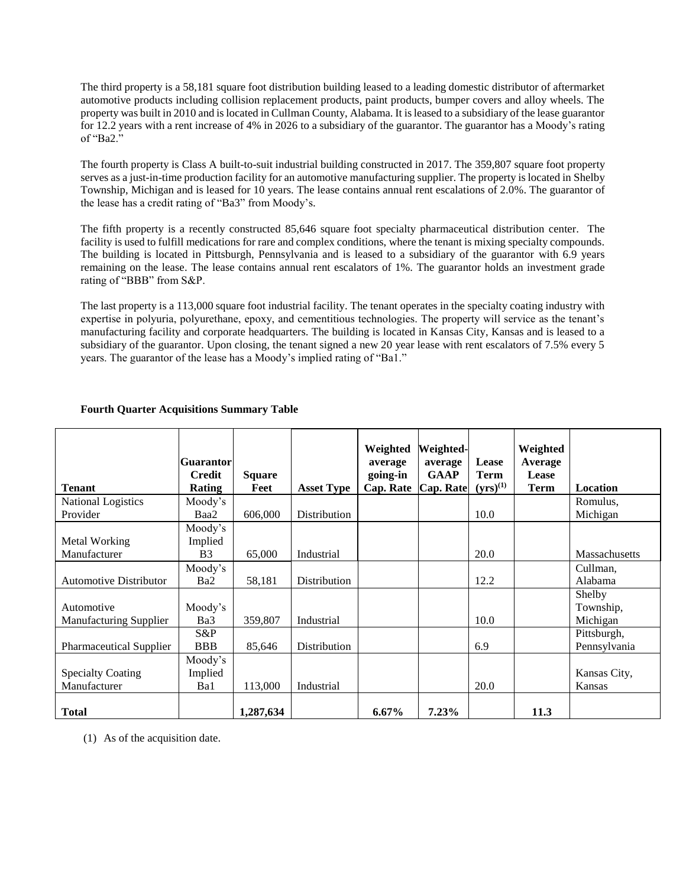The third property is a 58,181 square foot distribution building leased to a leading domestic distributor of aftermarket automotive products including collision replacement products, paint products, bumper covers and alloy wheels. The property was built in 2010 and is located in Cullman County, Alabama. It is leased to a subsidiary of the lease guarantor for 12.2 years with a rent increase of 4% in 2026 to a subsidiary of the guarantor. The guarantor has a Moody's rating of "Ba2."

The fourth property is Class A built-to-suit industrial building constructed in 2017. The 359,807 square foot property serves as a just-in-time production facility for an automotive manufacturing supplier. The property is located in Shelby Township, Michigan and is leased for 10 years. The lease contains annual rent escalations of 2.0%. The guarantor of the lease has a credit rating of "Ba3" from Moody's.

The fifth property is a recently constructed 85,646 square foot specialty pharmaceutical distribution center. The facility is used to fulfill medications for rare and complex conditions, where the tenant is mixing specialty compounds. The building is located in Pittsburgh, Pennsylvania and is leased to a subsidiary of the guarantor with 6.9 years remaining on the lease. The lease contains annual rent escalators of 1%. The guarantor holds an investment grade rating of "BBB" from S&P.

The last property is a 113,000 square foot industrial facility. The tenant operates in the specialty coating industry with expertise in polyuria, polyurethane, epoxy, and cementitious technologies. The property will service as the tenant's manufacturing facility and corporate headquarters. The building is located in Kansas City, Kansas and is leased to a subsidiary of the guarantor. Upon closing, the tenant signed a new 20 year lease with rent escalators of 7.5% every 5 years. The guarantor of the lease has a Moody's implied rating of "Ba1."

|                                | <b>Guarantor</b> |               |                     | Weighted<br>average | Weighted-<br>average | Lease         | Weighted<br>Average |                      |
|--------------------------------|------------------|---------------|---------------------|---------------------|----------------------|---------------|---------------------|----------------------|
|                                | <b>Credit</b>    | <b>Square</b> |                     | going-in            | <b>GAAP</b>          | <b>Term</b>   | Lease               |                      |
| <b>Tenant</b>                  | <b>Rating</b>    | Feet          | <b>Asset Type</b>   | Cap. Rate           | Cap. Rate            | $(yrs)^{(1)}$ | Term                | Location             |
| <b>National Logistics</b>      | Moody's          |               |                     |                     |                      |               |                     | Romulus,             |
| Provider                       | Baa2             | 606,000       | <b>Distribution</b> |                     |                      | 10.0          |                     | Michigan             |
|                                | Moody's          |               |                     |                     |                      |               |                     |                      |
| Metal Working                  | Implied          |               |                     |                     |                      |               |                     |                      |
| Manufacturer                   | B <sub>3</sub>   | 65,000        | Industrial          |                     |                      | 20.0          |                     | <b>Massachusetts</b> |
|                                | Moody's          |               |                     |                     |                      |               |                     | Cullman,             |
| <b>Automotive Distributor</b>  | Ba <sub>2</sub>  | 58,181        | Distribution        |                     |                      | 12.2          |                     | Alabama              |
|                                |                  |               |                     |                     |                      |               |                     | Shelby               |
| Automotive                     | Moody's          |               |                     |                     |                      |               |                     | Township,            |
| <b>Manufacturing Supplier</b>  | Ba3              | 359,807       | Industrial          |                     |                      | 10.0          |                     | Michigan             |
|                                | $S\&P$           |               |                     |                     |                      |               |                     | Pittsburgh,          |
| <b>Pharmaceutical Supplier</b> | <b>BBB</b>       | 85,646        | Distribution        |                     |                      | 6.9           |                     | Pennsylvania         |
|                                | Moody's          |               |                     |                     |                      |               |                     |                      |
| <b>Specialty Coating</b>       | Implied          |               |                     |                     |                      |               |                     | Kansas City,         |
| Manufacturer                   | Ba1              | 113,000       | Industrial          |                     |                      | 20.0          |                     | Kansas               |
|                                |                  |               |                     |                     |                      |               |                     |                      |
| <b>Total</b>                   |                  | 1,287,634     |                     | $6.67\%$            | 7.23%                |               | 11.3                |                      |

# **Fourth Quarter Acquisitions Summary Table**

(1) As of the acquisition date.